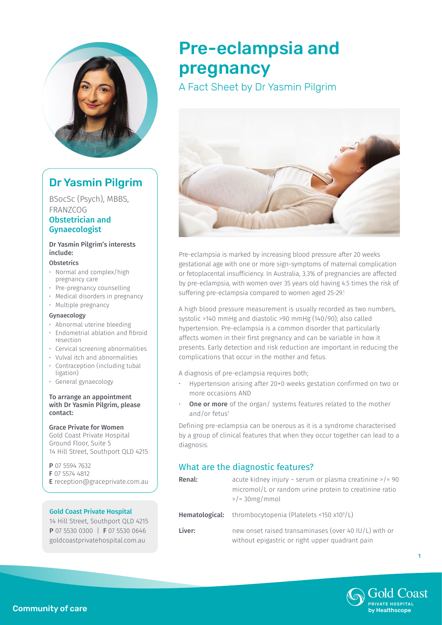

# Dr Yasmin Pilgrim

BSocSc (Psych), MBBS, FRANZCOG

### Obstetrician and Gynaecologist

Dr Yasmin Pilgrim's interests include:

#### **Obstetrics**

- • Normal and complex/high pregnancy care
- • Pre-pregnancy counselling
- Medical disorders in pregnancy
- Multiple pregnancy

### Gynaecology

- • Abnormal uterine bleeding
- $\cdot$  Endometrial ablation and fibroid resection
- • Cervical screening abnormalities
- • Vulval itch and abnormalities
- $\cdot$  Contraception (including tubal ligation)
- • General gynaecology

#### To arrange an appointment with Dr Yasmin Pilgrim, please contact:

### Grace Private for Women

Gold Coast Private Hospital Ground Floor, Suite 5 14 Hill Street, Southport QLD 4215

P 07 5594 7632 F 07 5574 4812 E reception@graceprivate.com.au

### Gold Coast Private Hospital

14 Hill Street, Southport QLD 4215 P 07 5530 0300 | F 07 5530 0646 goldcoastprivatehospital.com.au

# Pre-eclampsia and pregnancy

A Fact Sheet by Dr Yasmin Pilgrim



Pre-eclampsia is marked by increasing blood pressure after 20 weeks gestational age with one or more sign-symptoms of maternal complication or fetoplacental insufficiency. In Australia, 3.3% of pregnancies are affected by pre-eclampsia, with women over 35 years old having 4.5 times the risk of suffering pre-eclampsia compared to women aged 25-29.1

A high blood pressure measurement is usually recorded as two numbers, systolic >140 mmHg and diastolic >90 mmHg (140/90); also called hypertension. Pre-eclampsia is a common disorder that particularly affects women in their first pregnancy and can be variable in how it presents. Early detection and risk reduction are important in reducing the complications that occur in the mother and fetus.

A diagnosis of pre-eclampsia requires both;

- Hypertension arising after 20+0 weeks gestation confirmed on two or more occasions AND
- One or more of the organ/ systems features related to the mother and/or fetus<sup>1</sup>

Defining pre-eclampsia can be onerous as it is a syndrome characterised by a group of clinical features that when they occur together can lead to a diagnosis.

### What are the diagnostic features?

| Renal: | acute kidney injury – serum or plasma creatinine $>$ /= 90<br>micromol/L or random urine protein to creatinine ratio<br>$>$ /= 30mg/mmol |
|--------|------------------------------------------------------------------------------------------------------------------------------------------|
|        | <b>Hematological:</b> thrombocytopenia (Platelets <150 $x10^9/L$ )                                                                       |
| Liver: | new onset raised transaminases (over 40 $ U/L\rangle$ with or<br>without epigastric or right upper quadrant pain                         |



1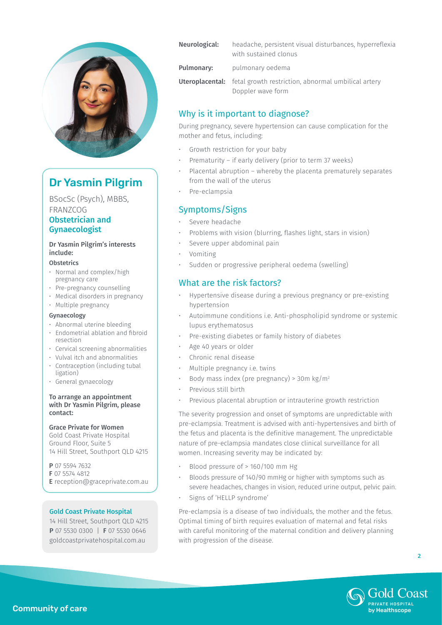

# Dr Yasmin Pilgrim

BSocSc (Psych), MBBS, FRANZCOG

### Obstetrician and Gynaecologist

### Dr Yasmin Pilgrim's interests include:

#### **Obstetrics**

- • Normal and complex/high pregnancy care
- • Pre-pregnancy counselling
- Medical disorders in pregnancy
- Multiple pregnancy

### Gynaecology

- • Abnormal uterine bleeding
- $\cdot$  Endometrial ablation and fibroid resection
- • Cervical screening abnormalities
- • Vulval itch and abnormalities
- $\cdot$  Contraception (including tubal ligation)
- • General gynaecology

#### To arrange an appointment with Dr Yasmin Pilgrim, please contact:

### Grace Private for Women

Gold Coast Private Hospital Ground Floor, Suite 5 14 Hill Street, Southport QLD 4215

P 07 5594 7632 F 07 5574 4812 E reception@graceprivate.com.au

### Gold Coast Private Hospital

14 Hill Street, Southport QLD 4215 P 07 5530 0300 | F 07 5530 0646 goldcoastprivatehospital.com.au

| Neurological: | headache, persistent visual disturbances, hyperreflexia<br>with sustained clonus                |
|---------------|-------------------------------------------------------------------------------------------------|
| Pulmonary:    | pulmonary oedema                                                                                |
|               | <b>Uteroplacental:</b> fetal growth restriction, abnormal umbilical artery<br>Doppler wave form |

### Why is it important to diagnose?

During pregnancy, severe hypertension can cause complication for the mother and fetus, including:

- Growth restriction for your baby
- Prematurity if early delivery (prior to term 37 weeks)
- Placental abruption whereby the placenta prematurely separates from the wall of the uterus
- Pre-eclampsia

### Symptoms/Signs

- Severe headache
- Problems with vision (blurring, flashes light, stars in vision)
- Severe upper abdominal pain
- **Vomiting**
- Sudden or progressive peripheral oedema (swelling)

### What are the risk factors?

- • Hypertensive disease during a previous pregnancy or pre-existing hypertension
- Autoimmune conditions i.e. Anti-phospholipid syndrome or systemic lupus erythematosus
- Pre-existing diabetes or family history of diabetes
- Age 40 years or older
- Chronic renal disease
- Multiple pregnancy i.e. twins
- Body mass index (pre pregnancy) > 30m kg/m<sup>2</sup>
- Previous still birth
- Previous placental abruption or intrauterine growth restriction

The severity progression and onset of symptoms are unpredictable with pre-eclampsia. Treatment is advised with anti-hypertensives and birth of the fetus and placenta is the definitive management. The unpredictable nature of pre-eclampsia mandates close clinical surveillance for all women. Increasing severity may be indicated by:

- Blood pressure of  $> 160/100$  mm Hg
- Bloods pressure of 140/90 mmHg or higher with symptoms such as severe headaches, changes in vision, reduced urine output, pelvic pain.
- Signs of 'HELLP syndrome'

Pre-eclampsia is a disease of two individuals, the mother and the fetus. Optimal timing of birth requires evaluation of maternal and fetal risks with careful monitoring of the maternal condition and delivery planning with progression of the disease.